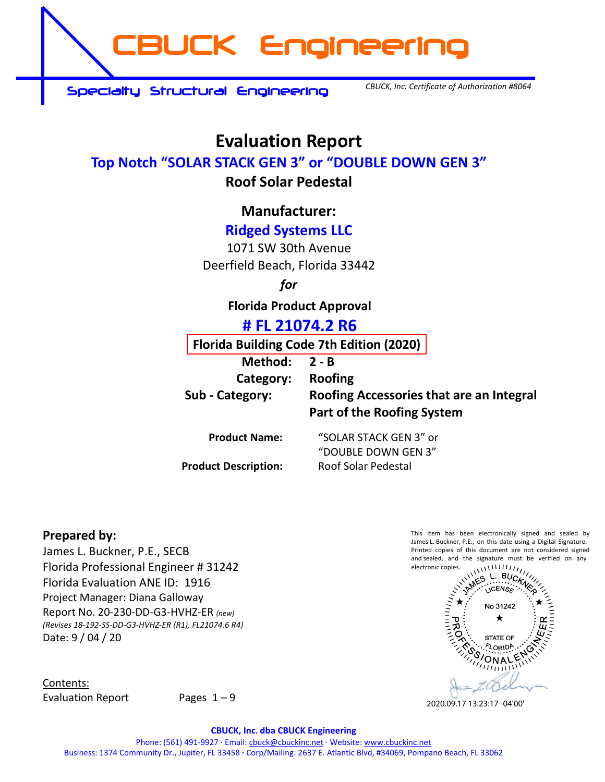**CBUCK Engineering**

**Specialty Structural Engineering**

*CBUCK, Inc. Certificate of Authorization #8064*

# **Evaluation Report**

## **Top Notch "SOLAR STACK GEN 3" or "DOUBLE DOWN GEN 3"**

## **Roof Solar Pedestal**

# **Manufacturer:**

# **Ridged Systems LLC**

1071 SW 30th Avenue Deerfield Beach, Florida 33442

## *for*

**Florida Product Approval**

# **# FL 21074.2 R6**

**Florida Building Code 7th Edition (2020)** 

**Method: 2 - B** 

## **Category: Roofing**

**Sub - Category: Roofing Accessories that are an Integral Part of the Roofing System** 

**Product Description:** Roof Solar Pedestal

**Product Name:** "SOLAR STACK GEN 3" or "DOUBLE DOWN GEN 3"

## **Prepared by:**

James L. Buckner, P.E., SECB Florida Professional Engineer # 31242 Florida Evaluation ANE ID: 1916 Project Manager: Diana Galloway Report No. 20-230-DD-G3-HVHZ-ER *(new) (Revises 18-192-SS-DD-G3-HVHZ-ER (R1), FL21074.6 R4)* Date: 9 / 04 / 20

Contents: Evaluation Report Pages  $1 - 9$ 

James L. Buckner, P.E., on this date using a Digital Signature. Printed copies of this document are not considered signed and sealed, and the signature must be verified on any electronic copies.



2020.09.17 13:23:17 -04'00'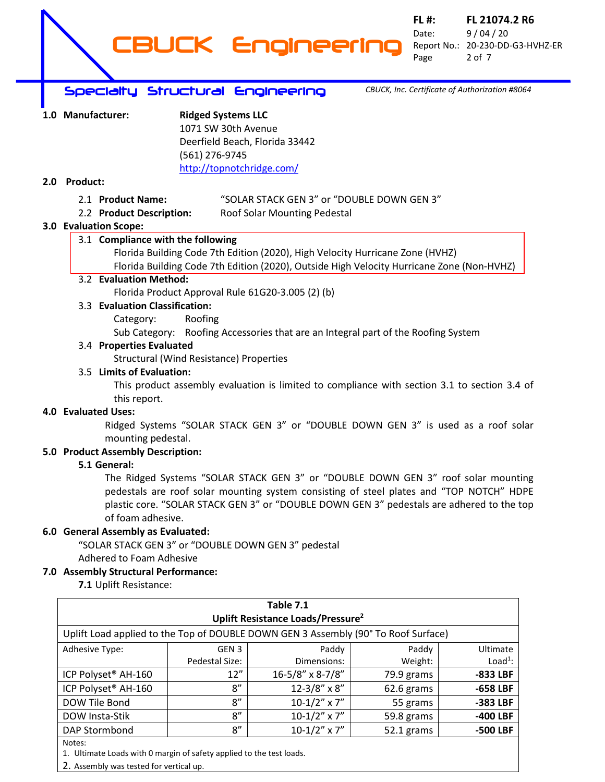

**FL #: FL 21074.2 R6** Date: 9 / 04 / 20 Report No.: 20-230-DD-G3-HVHZ-ER Page 2 of 7

*CBUCK, Inc. Certificate of Authorization #8064*

## **Specialty Structural Engineering**

| 1.0 Manufacturer: | <b>Ridged Systems LLC</b>      |
|-------------------|--------------------------------|
|                   | 1071 SW 30th Avenue            |
|                   | Deerfield Beach, Florida 33442 |
|                   | (561) 276-9745                 |
|                   | http://topnotchridge.com/      |

## **2.0 Product:**

## 2.1 **Product Name:** "SOLAR STACK GEN 3" or "DOUBLE DOWN GEN 3"

2.2 **Product Description:** Roof Solar Mounting Pedestal

## **3.0 Evaluation Scope:**

## 3.1 **Compliance with the following**

Florida Building Code 7th Edition (2020), High Velocity Hurricane Zone (HVHZ) Florida Building Code 7th Edition (2020), Outside High Velocity Hurricane Zone (Non-HVHZ)

## 3.2 **Evaluation Method:**

Florida Product Approval Rule 61G20-3.005 (2) (b)

3.3 **Evaluation Classification:**

Category: Roofing

Sub Category: Roofing Accessories that are an Integral part of the Roofing System

## 3.4 **Properties Evaluated**

Structural (Wind Resistance) Properties

## 3.5 **Limits of Evaluation:**

This product assembly evaluation is limited to compliance with section 3.1 to section 3.4 of this report.

## **4.0 Evaluated Uses:**

Ridged Systems "SOLAR STACK GEN 3" or "DOUBLE DOWN GEN 3" is used as a roof solar mounting pedestal.

## **5.0 Product Assembly Description:**

## **5.1 General:**

The Ridged Systems "SOLAR STACK GEN 3" or "DOUBLE DOWN GEN 3" roof solar mounting pedestals are roof solar mounting system consisting of steel plates and "TOP NOTCH" HDPE plastic core. "SOLAR STACK GEN 3" or "DOUBLE DOWN GEN 3" pedestals are adhered to the top of foam adhesive.

## **6.0 General Assembly as Evaluated:**

"SOLAR STACK GEN 3" or "DOUBLE DOWN GEN 3" pedestal Adhered to Foam Adhesive

## **7.0 Assembly Structural Performance:**

**7.1** Uplift Resistance:

|                                                                                    |                  | Table 7.1<br>Uplift Resistance Loads/Pressure <sup>2</sup> |            |            |
|------------------------------------------------------------------------------------|------------------|------------------------------------------------------------|------------|------------|
| Uplift Load applied to the Top of DOUBLE DOWN GEN 3 Assembly (90° To Roof Surface) |                  |                                                            |            |            |
| Adhesive Type:                                                                     | GEN <sub>3</sub> | Paddy                                                      | Paddy      | Ultimate   |
|                                                                                    | Pedestal Size:   | Dimensions:                                                | Weight:    | $Load1$ :  |
| ICP Polyset <sup>®</sup> AH-160                                                    | 12"              | 16-5/8" x 8-7/8"                                           | 79.9 grams | -833 LBF   |
| ICP Polyset <sup>®</sup> AH-160                                                    | 8''              | $12 - 3/8''$ x $8''$                                       | 62.6 grams | $-658$ LBF |
| DOW Tile Bond                                                                      | 8''              | $10-1/2''$ x 7"                                            | 55 grams   | -383 LBF   |
| DOW Insta-Stik                                                                     | 8''              | $10-1/2''$ x 7"                                            | 59.8 grams | -400 LBF   |
| DAP Stormbond                                                                      | 8''              | $10-1/2''$ x 7"                                            | 52.1 grams | -500 LBF   |
| Notes:                                                                             |                  |                                                            |            |            |
| 1. Ultimate Loads with 0 margin of safety applied to the test loads.               |                  |                                                            |            |            |

2. Assembly was tested for vertical up.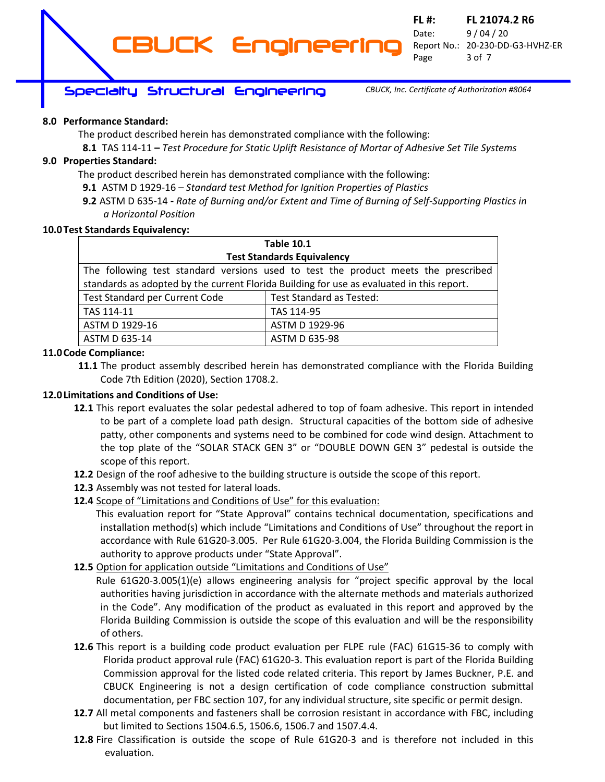## **Specialty Structural Engineering**

*CBUCK, Inc. Certificate of Authorization #8064*

## **8.0 Performance Standard:**

The product described herein has demonstrated compliance with the following:

**CBUCK Engineering**

**8.1** TAS 114-11 **–** *Test Procedure for Static Uplift Resistance of Mortar of Adhesive Set Tile Systems*

## **9.0 Properties Standard:**

The product described herein has demonstrated compliance with the following:

**9.1** ASTM D 1929-16 *– Standard test Method for Ignition Properties of Plastics*

**9.2** ASTM D 635-14 **-** *Rate of Burning and/or Extent and Time of Burning of Self-Supporting Plastics in a Horizontal Position*

#### **10.0Test Standards Equivalency:**

|                                                                                           | <b>Table 10.1</b>                                                                  |  |
|-------------------------------------------------------------------------------------------|------------------------------------------------------------------------------------|--|
| <b>Test Standards Equivalency</b>                                                         |                                                                                    |  |
|                                                                                           | The following test standard versions used to test the product meets the prescribed |  |
| standards as adopted by the current Florida Building for use as evaluated in this report. |                                                                                    |  |
| Test Standard per Current Code                                                            | <b>Test Standard as Tested:</b>                                                    |  |
| TAS 114-11                                                                                | TAS 114-95                                                                         |  |
| ASTM D 1929-16                                                                            | ASTM D 1929-96                                                                     |  |
| ASTM D 635-14                                                                             | ASTM D 635-98                                                                      |  |

## **11.0Code Compliance:**

**11.1** The product assembly described herein has demonstrated compliance with the Florida Building Code 7th Edition (2020), Section 1708.2.

## **12.0Limitations and Conditions of Use:**

- **12.1** This report evaluates the solar pedestal adhered to top of foam adhesive. This report in intended to be part of a complete load path design. Structural capacities of the bottom side of adhesive patty, other components and systems need to be combined for code wind design. Attachment to the top plate of the "SOLAR STACK GEN 3" or "DOUBLE DOWN GEN 3" pedestal is outside the scope of this report.
- **12.2** Design of the roof adhesive to the building structure is outside the scope of this report.
- **12.3** Assembly was not tested for lateral loads.
- **12.4** Scope of "Limitations and Conditions of Use" for this evaluation:

This evaluation report for "State Approval" contains technical documentation, specifications and installation method(s) which include "Limitations and Conditions of Use" throughout the report in accordance with Rule 61G20-3.005. Per Rule 61G20-3.004, the Florida Building Commission is the authority to approve products under "State Approval".

**12.5** Option for application outside "Limitations and Conditions of Use"

Rule 61G20-3.005(1)(e) allows engineering analysis for "project specific approval by the local authorities having jurisdiction in accordance with the alternate methods and materials authorized in the Code". Any modification of the product as evaluated in this report and approved by the Florida Building Commission is outside the scope of this evaluation and will be the responsibility of others.

- **12.6** This report is a building code product evaluation per FLPE rule (FAC) 61G15-36 to comply with Florida product approval rule (FAC) 61G20-3. This evaluation report is part of the Florida Building Commission approval for the listed code related criteria. This report by James Buckner, P.E. and CBUCK Engineering is not a design certification of code compliance construction submittal documentation, per FBC section 107, for any individual structure, site specific or permit design.
- **12.7** All metal components and fasteners shall be corrosion resistant in accordance with FBC, including but limited to Sections 1504.6.5, 1506.6, 1506.7 and 1507.4.4.
- **12.8** Fire Classification is outside the scope of Rule 61G20-3 and is therefore not included in this evaluation.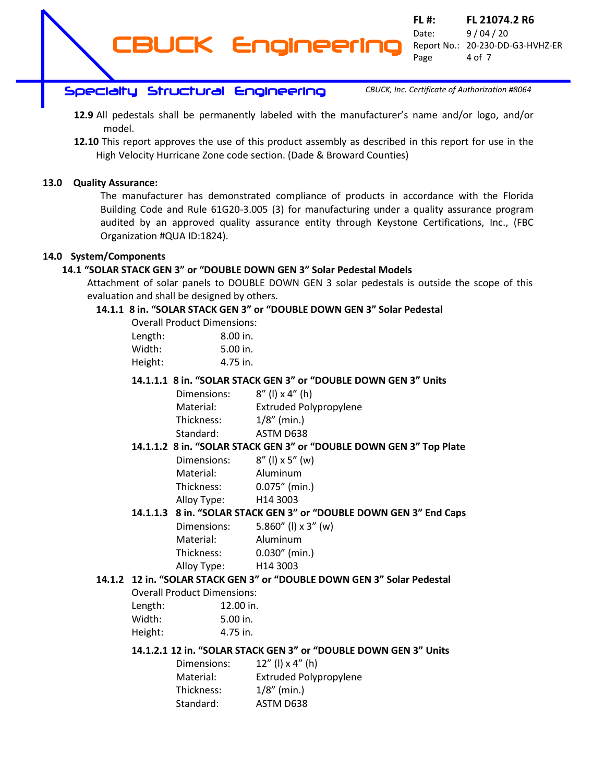**FL #: FL 21074.2 R6** Date: 9 / 04 / 20 Report No.: 20-230-DD-G3-HVHZ-ER Page 4 of 7 **CBUCK Engineering**

## **Specialty Structural Engineering**

*CBUCK, Inc. Certificate of Authorization #8064*

- **12.9** All pedestals shall be permanently labeled with the manufacturer's name and/or logo, and/or model.
- **12.10** This report approves the use of this product assembly as described in this report for use in the High Velocity Hurricane Zone code section. (Dade & Broward Counties)

## **13.0 Quality Assurance:**

The manufacturer has demonstrated compliance of products in accordance with the Florida Building Code and Rule 61G20-3.005 (3) for manufacturing under a quality assurance program audited by an approved quality assurance entity through Keystone Certifications, Inc., (FBC Organization #QUA ID:1824).

## **14.0 System/Components**

## **14.1 "SOLAR STACK GEN 3" or "DOUBLE DOWN GEN 3" Solar Pedestal Models**

Attachment of solar panels to DOUBLE DOWN GEN 3 solar pedestals is outside the scope of this evaluation and shall be designed by others.

## **14.1.1 8 in. "SOLAR STACK GEN 3" or "DOUBLE DOWN GEN 3" Solar Pedestal**

| <b>Overall Product Dimensions:</b> |            |
|------------------------------------|------------|
| Length:                            | $8.00$ in. |
| Width:                             | $5.00$ in. |
| Height:                            | 4.75 in.   |

## **14.1.1.1 8 in. "SOLAR STACK GEN 3" or "DOUBLE DOWN GEN 3" Units**

Dimensions:  $8''$  (I)  $\times$  4" (h) Material: Extruded Polypropylene Thickness: 1/8" (min.) Standard: ASTM D638

## **14.1.1.2 8 in. "SOLAR STACK GEN 3" or "DOUBLE DOWN GEN 3" Top Plate**

| Dimensions: | $8''$ (l) x 5" (w) |
|-------------|--------------------|
| Material:   | Aluminum           |
| Thickness:  | $0.075''$ (min.)   |
| Alloy Type: | H14 3003           |
|             |                    |

## **14.1.1.3 8 in. "SOLAR STACK GEN 3" or "DOUBLE DOWN GEN 3" End Caps**

| 5.860" (I) $\times$ 3" (w) |
|----------------------------|
| Aluminum                   |
| $0.030''$ (min.)           |
| H <sub>14</sub> 3003       |
|                            |

## **14.1.2 12 in. "SOLAR STACK GEN 3" or "DOUBLE DOWN GEN 3" Solar Pedestal**

| <b>Overall Product Dimensions:</b> |           |
|------------------------------------|-----------|
| Length:                            | 12.00 in. |

| 12.00 III. |
|------------|
| $5.00$ in. |
| 4.75 in.   |
|            |

## **14.1.2.1 12 in. "SOLAR STACK GEN 3" or "DOUBLE DOWN GEN 3" Units**

| Dimensions: | $12''$ (l) x 4" (h)           |
|-------------|-------------------------------|
| Material:   | <b>Extruded Polypropylene</b> |
| Thickness:  | $1/8''$ (min.)                |
| Standard:   | ASTM D638                     |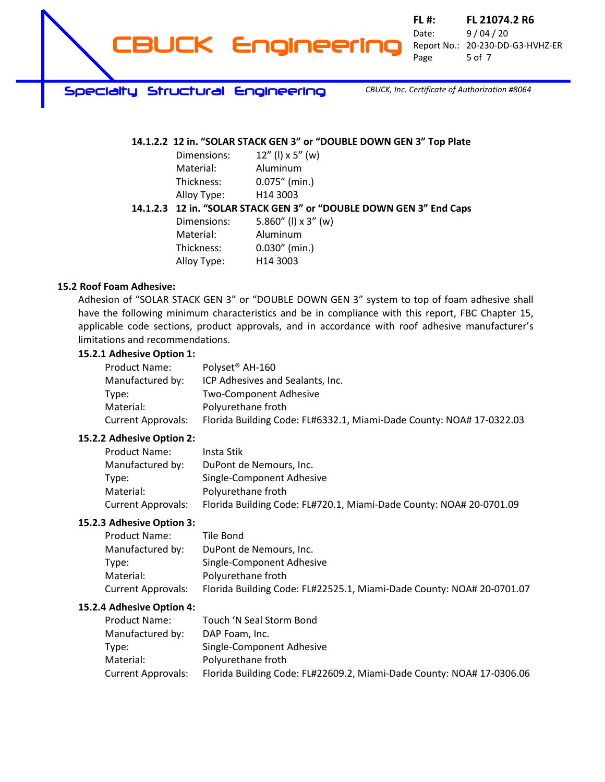

**FL #: FL 21074.2 R6** Date: 9 / 04 / 20 Report No.: 20-230-DD-G3-HVHZ-ER Page 5 of 7

**Specialty Structural Engineering**

*CBUCK, Inc. Certificate of Authorization #8064*

## **14.1.2.2 12 in. "SOLAR STACK GEN 3" or "DOUBLE DOWN GEN 3" Top Plate**

| Dimensions: | $12''$ (l) x 5" (w)  |
|-------------|----------------------|
| Material:   | Aluminum             |
| Thickness:  | $0.075''$ (min.)     |
| Alloy Type: | H <sub>14</sub> 3003 |

## **14.1.2.3 12 in. "SOLAR STACK GEN 3" or "DOUBLE DOWN GEN 3" End Caps**

| Dimensions: | 5.860" (I) $\times$ 3" (w) |
|-------------|----------------------------|
| Material:   | Aluminum                   |
| Thickness:  | $0.030''$ (min.)           |
| Alloy Type: | H14 3003                   |

## **15.2 Roof Foam Adhesive:**

Adhesion of "SOLAR STACK GEN 3" or "DOUBLE DOWN GEN 3" system to top of foam adhesive shall have the following minimum characteristics and be in compliance with this report, FBC Chapter 15, applicable code sections, product approvals, and in accordance with roof adhesive manufacturer's limitations and recommendations.

## **15.2.1 Adhesive Option 1:**

| Product Name:             | Polyset <sup>®</sup> AH-160                                          |
|---------------------------|----------------------------------------------------------------------|
| Manufactured by:          | ICP Adhesives and Sealants, Inc.                                     |
| Type:                     | <b>Two-Component Adhesive</b>                                        |
| Material:                 | Polyurethane froth                                                   |
| <b>Current Approvals:</b> | Florida Building Code: FL#6332.1, Miami-Dade County: NOA# 17-0322.03 |

#### **15.2.2 Adhesive Option 2:**

| Product Name:             | Insta Stik                                                          |
|---------------------------|---------------------------------------------------------------------|
| Manufactured by:          | DuPont de Nemours, Inc.                                             |
| Type:                     | Single-Component Adhesive                                           |
| Material:                 | Polyurethane froth                                                  |
| <b>Current Approvals:</b> | Florida Building Code: FL#720.1, Miami-Dade County: NOA# 20-0701.09 |

## **15.2.3 Adhesive Option 3:**

| <b>Product Name:</b>      | Tile Bond                                                             |
|---------------------------|-----------------------------------------------------------------------|
| Manufactured by:          | DuPont de Nemours, Inc.                                               |
| Tvpe:                     | Single-Component Adhesive                                             |
| Material:                 | Polyurethane froth                                                    |
| <b>Current Approvals:</b> | Florida Building Code: FL#22525.1, Miami-Dade County: NOA# 20-0701.07 |

#### **15.2.4 Adhesive Option 4:**

| <b>Product Name:</b>      | Touch 'N Seal Storm Bond                                              |
|---------------------------|-----------------------------------------------------------------------|
| Manufactured by:          | DAP Foam, Inc.                                                        |
| Type:                     | Single-Component Adhesive                                             |
| Material:                 | Polyurethane froth                                                    |
| <b>Current Approvals:</b> | Florida Building Code: FL#22609.2, Miami-Dade County: NOA# 17-0306.06 |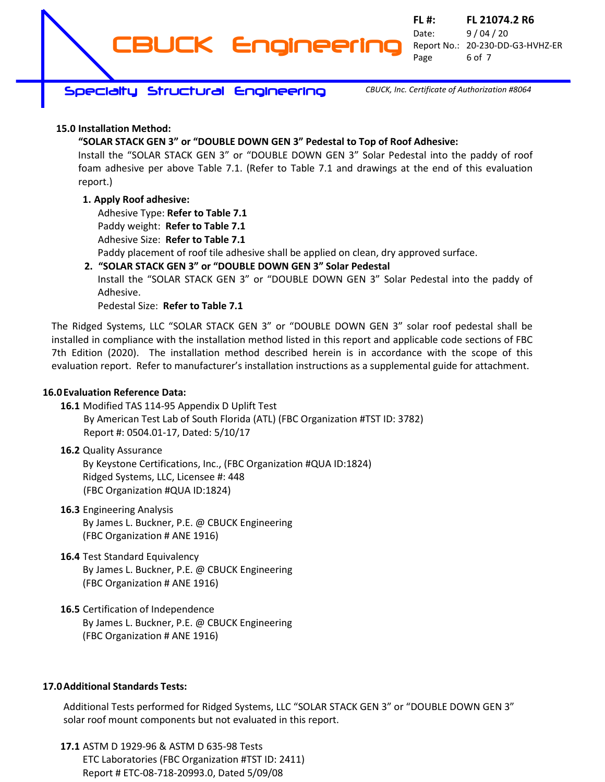**FL #: FL 21074.2 R6** Date: 9 / 04 / 20 Report No.: 20-230-DD-G3-HVHZ-ER Page 6 of 7

**Specialty Structural Engineering**

*CBUCK, Inc. Certificate of Authorization #8064*

## **15.0 Installation Method:**

## **"SOLAR STACK GEN 3" or "DOUBLE DOWN GEN 3" Pedestal to Top of Roof Adhesive:**

**CBUCK Engineering**

Install the "SOLAR STACK GEN 3" or "DOUBLE DOWN GEN 3" Solar Pedestal into the paddy of roof foam adhesive per above Table 7.1. (Refer to Table 7.1 and drawings at the end of this evaluation report.)

## **1. Apply Roof adhesive:**

Adhesive Type: **Refer to Table 7.1** Paddy weight: **Refer to Table 7.1**

Adhesive Size: **Refer to Table 7.1**

Paddy placement of roof tile adhesive shall be applied on clean, dry approved surface.

**2. "SOLAR STACK GEN 3" or "DOUBLE DOWN GEN 3" Solar Pedestal** Install the "SOLAR STACK GEN 3" or "DOUBLE DOWN GEN 3" Solar Pedestal into the paddy of Adhesive.

## Pedestal Size: **Refer to Table 7.1**

The Ridged Systems, LLC "SOLAR STACK GEN 3" or "DOUBLE DOWN GEN 3" solar roof pedestal shall be installed in compliance with the installation method listed in this report and applicable code sections of FBC 7th Edition (2020). The installation method described herein is in accordance with the scope of this evaluation report. Refer to manufacturer's installation instructions as a supplemental guide for attachment.

## **16.0Evaluation Reference Data:**

- **16.1** Modified TAS 114-95 Appendix D Uplift Test By American Test Lab of South Florida (ATL) (FBC Organization #TST ID: 3782) Report #: 0504.01-17, Dated: 5/10/17
- **16.2** Quality Assurance

By Keystone Certifications, Inc., (FBC Organization #QUA ID:1824) Ridged Systems, LLC, Licensee #: 448 (FBC Organization #QUA ID:1824)

- **16.3** Engineering Analysis By James L. Buckner, P.E. @ CBUCK Engineering (FBC Organization # ANE 1916)
- **16.4** Test Standard Equivalency By James L. Buckner, P.E. @ CBUCK Engineering (FBC Organization # ANE 1916)
- **16.5** Certification of Independence By James L. Buckner, P.E. @ CBUCK Engineering (FBC Organization # ANE 1916)

## **17.0Additional Standards Tests:**

Additional Tests performed for Ridged Systems, LLC "SOLAR STACK GEN 3" or "DOUBLE DOWN GEN 3" solar roof mount components but not evaluated in this report.

**17.1** ASTM D 1929-96 & ASTM D 635-98 Tests ETC Laboratories (FBC Organization #TST ID: 2411) Report # ETC-08-718-20993.0, Dated 5/09/08